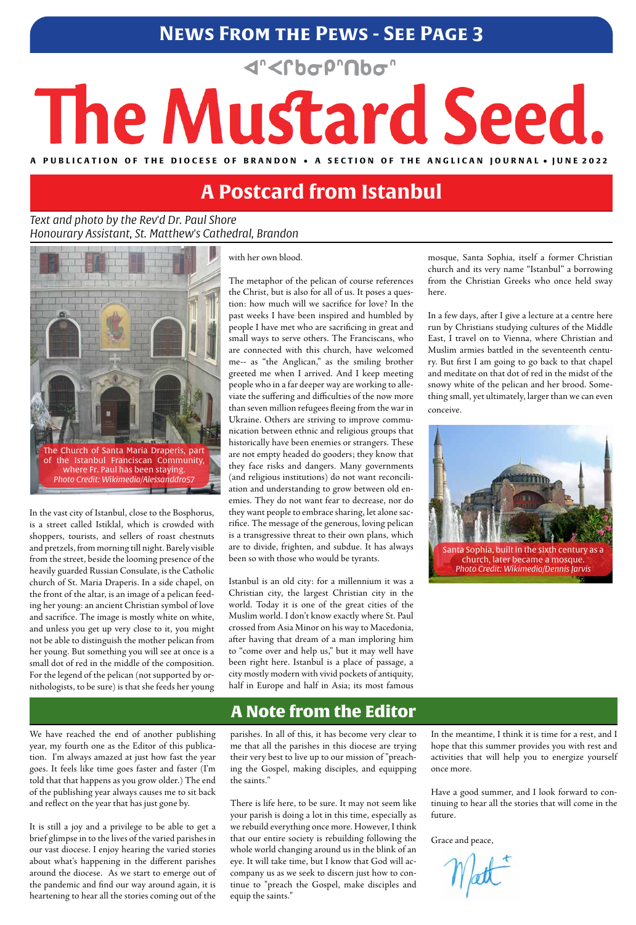# **News From the Pews - See Page 3**

**<rbop"Nbo"** 

# The Mustard Seed.

A PUBLICATION OF THE DIOCESE OF BRANDON • A SECTION OF THE ANGLICAN **JOURNAL** • JUNE 2022

#### *Text and photo by the Rev'd Dr. Paul Shore Honourary Assistant, St. Matthew's Cathedral, Brandon*

## A Note from the Editor

In the vast city of Istanbul, close to the Bosphorus, is a street called Istiklal, which is crowded with shoppers, tourists, and sellers of roast chestnuts and pretzels, from morning till night. Barely visible from the street, beside the looming presence of the heavily guarded Russian Consulate, is the Catholic church of St. Maria Draperis. In a side chapel, on the front of the altar, is an image of a pelican feeding her young: an ancient Christian symbol of love and sacrifice. The image is mostly white on white, and unless you get up very close to it, you might not be able to distinguish the mother pelican from her young. But something you will see at once is a small dot of red in the middle of the composition. For the legend of the pelican (not supported by ornithologists, to be sure) is that she feeds her young

with her own blood.

The metaphor of the pelican of course references the Christ, but is also for all of us. It poses a question: how much will we sacrifice for love? In the past weeks I have been inspired and humbled by people I have met who are sacrificing in great and small ways to serve others. The Franciscans, who are connected with this church, have welcomed me-- as "the Anglican," as the smiling brother greeted me when I arrived. And I keep meeting people who in a far deeper way are working to alleviate the suffering and difficulties of the now more than seven million refugees fleeing from the war in Ukraine. Others are striving to improve communication between ethnic and religious groups that historically have been enemies or strangers. These are not empty headed do gooders; they know that they face risks and dangers. Many governments (and religious institutions) do not want reconciliation and understanding to grow between old enemies. They do not want fear to decrease, nor do they want people to embrace sharing, let alone sacrifice. The message of the generous, loving pelican is a transgressive threat to their own plans, which are to divide, frighten, and subdue. It has always been so with those who would be tyrants.

Istanbul is an old city: for a millennium it was a Christian city, the largest Christian city in the world. Today it is one of the great cities of the Muslim world. I don't know exactly where St. Paul crossed from Asia Minor on his way to Macedonia, after having that dream of a man imploring him to "come over and help us," but it may well have been right here. Istanbul is a place of passage, a city mostly modern with vivid pockets of antiquity, half in Europe and half in Asia; its most famous

mosque, Santa Sophia, itself a former Christian church and its very name "Istanbul" a borrowing from the Christian Greeks who once held sway here.

In a few days, after I give a lecture at a centre here run by Christians studying cultures of the Middle East, I travel on to Vienna, where Christian and Muslim armies battled in the seventeenth century. But first I am going to go back to that chapel and meditate on that dot of red in the midst of the snowy white of the pelican and her brood. Something small, yet ultimately, larger than we can even conceive.

# **A Postcard from Istanbul**





Santa Sophia, built in the sixth century as a church, later became a mosque. *Photo Credit: Wikimedia/Dennis Jarvis*

We have reached the end of another publishing year, my fourth one as the Editor of this publication. I'm always amazed at just how fast the year goes. It feels like time goes faster and faster (I'm told that that happens as you grow older.) The end of the publishing year always causes me to sit back and reflect on the year that has just gone by.

It is still a joy and a privilege to be able to get a brief glimpse in to the lives of the varied parishes in our vast diocese. I enjoy hearing the varied stories about what's happening in the different parishes around the diocese. As we start to emerge out of the pandemic and find our way around again, it is heartening to hear all the stories coming out of the

parishes. In all of this, it has become very clear to me that all the parishes in this diocese are trying their very best to live up to our mission of "preaching the Gospel, making disciples, and equipping the saints."

There is life here, to be sure. It may not seem like your parish is doing a lot in this time, especially as we rebuild everything once more. However, I think that our entire society is rebuilding following the whole world changing around us in the blink of an eye. It will take time, but I know that God will accompany us as we seek to discern just how to continue to "preach the Gospel, make disciples and equip the saints."

In the meantime, I think it is time for a rest, and I hope that this summer provides you with rest and activities that will help you to energize yourself once more.

Have a good summer, and I look forward to continuing to hear all the stories that will come in the future.

Grace and peace,

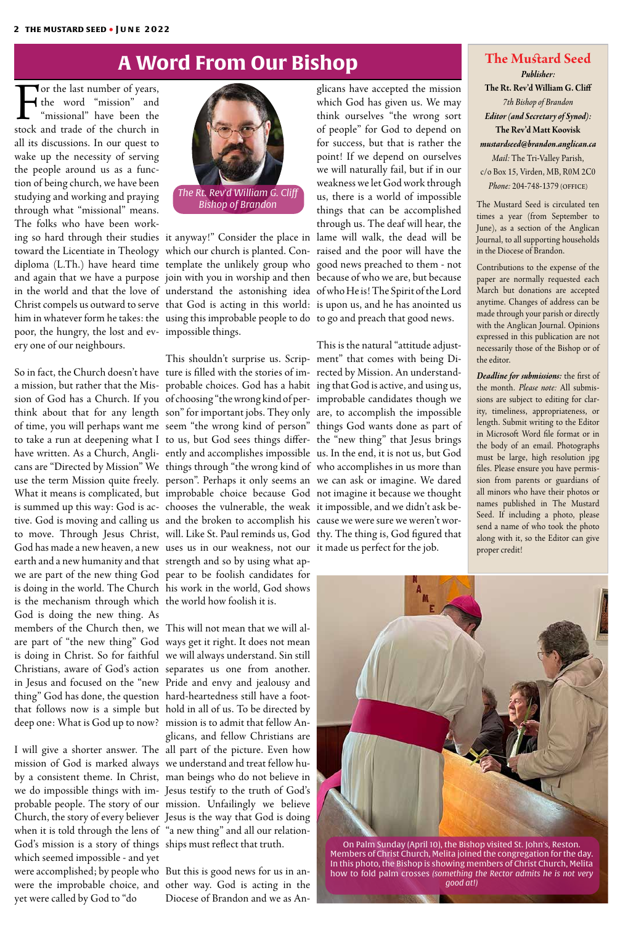For the last number of years,<br>the word "mission" and "missional" have been the<br>stock and trade of the church in the word "mission" and "missional" have been the stock and trade of the church in all its discussions. In our quest to wake up the necessity of serving the people around us as a function of being church, we have been studying and working and praying through what "missional" means. The folks who have been workpoor, the hungry, the lost and ev-impossible things. ery one of our neighbours.

a mission, but rather that the Mis-probable choices. God has a habit ing that God is active, and using us, sion of God has a Church. If you of choosing "the wrong kind of per- improbable candidates though we think about that for any length son" for important jobs. They only are, to accomplish the impossible of time, you will perhaps want me seem "the wrong kind of person" things God wants done as part of to take a run at deepening what I to us, but God sees things differ- the "new thing" that Jesus brings have written. As a Church, Angli- ently and accomplishes impossible us. In the end, it is not us, but God cans are "Directed by Mission" We things through "the wrong kind of who accomplishes in us more than use the term Mission quite freely. person". Perhaps it only seems an we can ask or imagine. We dared What it means is complicated, but improbable choice because God not imagine it because we thought is summed up this way: God is ac-chooses the vulnerable, the weak it impossible, and we didn't ask betive. God is moving and calling us and the broken to accomplish his cause we were sure we weren't worto move. Through Jesus Christ, will. Like St. Paul reminds us, God thy. The thing is, God figured that God has made a new heaven, a new uses us in our weakness, not our it made us perfect for the job. earth and a new humanity and that strength and so by using what apwe are part of the new thing God pear to be foolish candidates for is doing in the world. The Church his work in the world, God shows is the mechanism through which the world how foolish it is. God is doing the new thing. As

members of the Church then, we This will not mean that we will alare part of "the new thing" God ways get it right. It does not mean is doing in Christ. So for faithful we will always understand. Sin still Christians, aware of God's action separates us one from another. in Jesus and focused on the "new Pride and envy and jealousy and thing" God has done, the question hard-heartedness still have a footthat follows now is a simple but hold in all of us. To be directed by deep one: What is God up to now? mission is to admit that fellow An-I will give a shorter answer. The all part of the picture. Even how mission of God is marked always we understand and treat fellow huby a consistent theme. In Christ, man beings who do not believe in we do impossible things with im-Jesus testify to the truth of God's probable people. The story of our mission. Unfailingly we believe Church, the story of every believer Jesus is the way that God is doing when it is told through the lens of "a new thing" and all our relation-God's mission is a story of things ships must reflect that truth. which seemed impossible - and yet were accomplished; by people who But this is good news for us in anwere the improbable choice, and other way. God is acting in the yet were called by God to "do glicans, and fellow Christians are Diocese of Brandon and we as An-

So in fact, the Church doesn't have ture is filled with the stories of im-rected by Mission. An understand-This shouldn't surprise us. Scrip-ment" that comes with being Di-This is the natural "attitude adjust-

glicans have accepted the mission which God has given us. We may think ourselves "the wrong sort of people" for God to depend on for success, but that is rather the point! If we depend on ourselves we will naturally fail, but if in our weakness we let God work through us, there is a world of impossible things that can be accomplished through us. The deaf will hear, the

# **A Word From Our Bishop The Mustard Seed**

*Publisher:* **The Rt. Rev'd William G. Cliff** *7th Bishop of Brandon Editor (and Secretary of Synod):*  **The Rev'd Matt Koovisk** *mustardseed@brandon.anglican.ca Mail:* The Tri-Valley Parish, c/o Box 15, Virden, MB, R0M 2C0 *Phone:* 204-748-1379 (office)

The Mustard Seed is circulated ten times a year (from September to June), as a section of the Anglican Journal, to all supporting households in the Diocese of Brandon.

Contributions to the expense of the paper are normally requested each March but donations are accepted anytime. Changes of address can be made through your parish or directly with the Anglican Journal. Opinions expressed in this publication are not necessarily those of the Bishop or of the editor.

*Deadline for submissions:* the first of the month. *Please note:* All submissions are subject to editing for clarity, timeliness, appropriateness, or length. Submit writing to the Editor in Microsoft Word file format or in the body of an email. Photographs must be large, high resolution jpg files. Please ensure you have permission from parents or guardians of all minors who have their photos or names published in The Mustard Seed. If including a photo, please send a name of who took the photo along with it, so the Editor can give proper credit!





ing so hard through their studies it anyway!" Consider the place in lame will walk, the dead will be toward the Licentiate in Theology which our church is planted. Con-raised and the poor will have the diploma (L.Th.) have heard time template the unlikely group who good news preached to them - not and again that we have a purpose join with you in worship and then because of who we are, but because in the world and that the love of understand the astonishing idea of who He is! The Spirit of the Lord Christ compels us outward to serve that God is acting in this world: is upon us, and he has anointed us him in whatever form he takes: the using this improbable people to do to go and preach that good news.

On Palm Sunday (April 10), the Bishop visited St. John's, Reston. Members of Christ Church, Melita joined the congregation for the day. In this photo, the Bishop is showing members of Christ Church, Melita how to fold palm crosses *(something the Rector admits he is not very good at!)*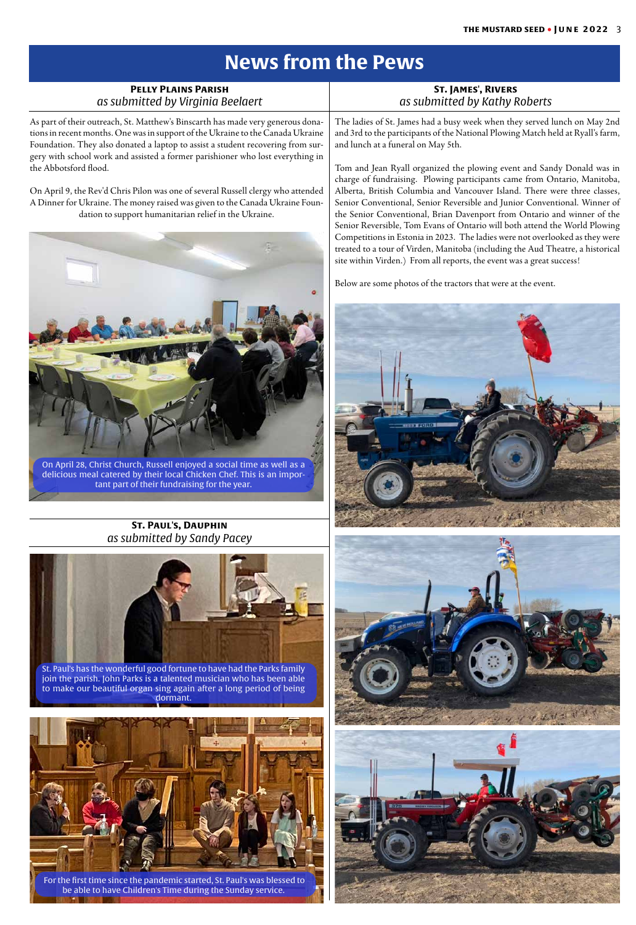# **News from the Pews**



| <b>PELLY PLAINS PARISH</b><br>as submitted by Virginia Beelaert                                                                                                                                                                                       | <b>ST. JAMES', RIVERS</b><br>as submitted by Kathy Roberts                                                                                                                                                                                                                                                                                                                                                                                                                                                                                                 |
|-------------------------------------------------------------------------------------------------------------------------------------------------------------------------------------------------------------------------------------------------------|------------------------------------------------------------------------------------------------------------------------------------------------------------------------------------------------------------------------------------------------------------------------------------------------------------------------------------------------------------------------------------------------------------------------------------------------------------------------------------------------------------------------------------------------------------|
| As part of their outreach, St. Matthew's Binscarth has made very generous dona-<br>tions in recent months. One was in support of the Ukraine to the Canada Ukraine<br>Foundation. They also donated a laptop to assist a student recovering from sur- | The ladies of St. James had a busy week when they served lunch on May 2nd<br>and 3rd to the participants of the National Plowing Match held at Ryall's farm,<br>and lunch at a funeral on May 5th.                                                                                                                                                                                                                                                                                                                                                         |
| gery with school work and assisted a former parishioner who lost everything in<br>the Abbotsford flood.                                                                                                                                               | Tom and Jean Ryall organized the plowing event and Sandy Donald was in<br>charge of fundraising. Plowing participants came from Ontario, Manitoba,                                                                                                                                                                                                                                                                                                                                                                                                         |
| On April 9, the Rev'd Chris Pilon was one of several Russell clergy who attended<br>A Dinner for Ukraine. The money raised was given to the Canada Ukraine Foun-<br>dation to support humanitarian relief in the Ukraine.                             | Alberta, British Columbia and Vancouver Island. There were three classes,<br>Senior Conventional, Senior Reversible and Junior Conventional. Winner of<br>the Senior Conventional, Brian Davenport from Ontario and winner of the<br>Senior Reversible, Tom Evans of Ontario will both attend the World Plowing<br>Competitions in Estonia in 2023. The ladies were not overlooked as they were<br>treated to a tour of Virden, Manitoba (including the Aud Theatre, a historical<br>site within Virden.) From all reports, the event was a great success! |
|                                                                                                                                                                                                                                                       | Below are some photos of the tractors that were at the event.                                                                                                                                                                                                                                                                                                                                                                                                                                                                                              |
| On April 28, Christ Church, Russell enjoyed a social time as well as a<br>delicious meal catered by their local Chicken Chef. This is an impor-<br>tant part of their fundraising for the year.                                                       |                                                                                                                                                                                                                                                                                                                                                                                                                                                                                                                                                            |
| <b>ST. PAUL'S, DAUPHIN</b>                                                                                                                                                                                                                            |                                                                                                                                                                                                                                                                                                                                                                                                                                                                                                                                                            |
| as submitted by Sandy Pacey                                                                                                                                                                                                                           |                                                                                                                                                                                                                                                                                                                                                                                                                                                                                                                                                            |
| St. Paul's has the wonderful good fortune to have had the Parks family<br>join the parish. John Parks is a talented musician who has been able<br>to make our beautiful organ sing again after a long period of being<br>dormant.                     |                                                                                                                                                                                                                                                                                                                                                                                                                                                                                                                                                            |



19. J. P

 For the first time since the pandemic started, St. Paul's was blessed to be able to have Children's Time during the Sunday service.